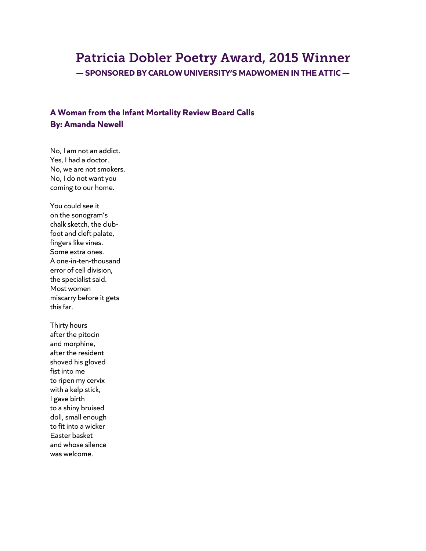# Patricia Dobler Poetry Award, 2015 Winner

**— SPONSORED BY CARLOW UNIVERSITY'S MADWOMEN IN THE ATTIC —**

## **A Woman from the Infant Mortality Review Board Calls By: Amanda Newell**

No, I am not an addict. Yes, I had a doctor. No, we are not smokers. No, I do not want you coming to our home.

You could see it on the sonogram's chalk sketch, the clubfoot and cleft palate, fingers like vines. Some extra ones. A one-in-ten-thousand error of cell division, the specialist said. Most women miscarry before it gets this far.

Thirty hours after the pitocin and morphine, after the resident shoved his gloved fist into me to ripen my cervix with a kelp stick, I gave birth to a shiny bruised doll, small enough to fit into a wicker Easter basket and whose silence was welcome.